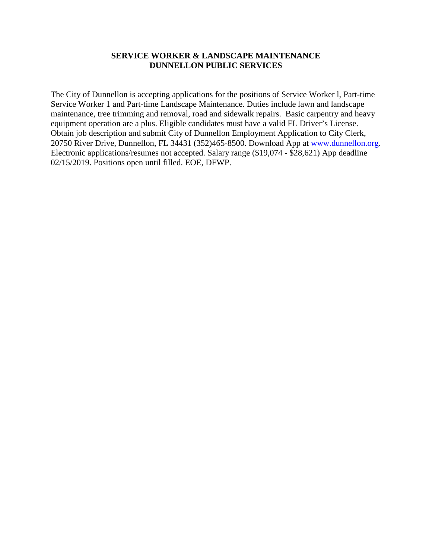#### **SERVICE WORKER & LANDSCAPE MAINTENANCE DUNNELLON PUBLIC SERVICES**

The City of Dunnellon is accepting applications for the positions of Service Worker l, Part-time Service Worker 1 and Part-time Landscape Maintenance. Duties include lawn and landscape maintenance, tree trimming and removal, road and sidewalk repairs. Basic carpentry and heavy equipment operation are a plus. Eligible candidates must have a valid FL Driver's License. Obtain job description and submit City of Dunnellon Employment Application to City Clerk, 20750 River Drive, Dunnellon, FL 34431 (352)465-8500. Download App at [www.dunnellon.org.](http://www.dunnellon.org/) Electronic applications/resumes not accepted. Salary range (\$19,074 - \$28,621) App deadline 02/15/2019. Positions open until filled. EOE, DFWP.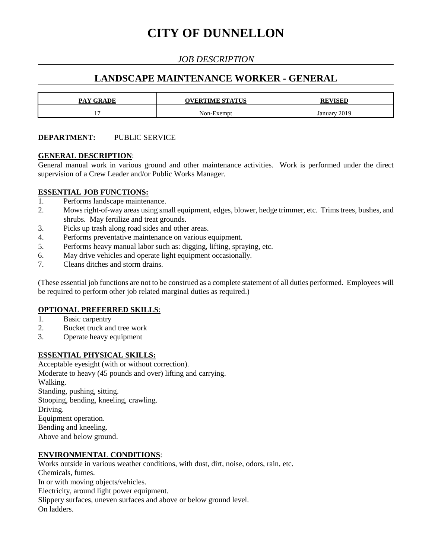# **CITY OF DUNNELLON**

## *JOB DESCRIPTION*

## **LANDSCAPE MAINTENANCE WORKER - GENERAL**

| <b>PAY GRADE</b> | <b>OVERTIME STATUS</b> | <b>REVISED</b> |
|------------------|------------------------|----------------|
|                  | Non-Exempt             | January 2019   |

### **DEPARTMENT:** PUBLIC SERVICE

#### **GENERAL DESCRIPTION**:

General manual work in various ground and other maintenance activities. Work is performed under the direct supervision of a Crew Leader and/or Public Works Manager.

#### **ESSENTIAL JOB FUNCTIONS:**

- 1. Performs landscape maintenance.
- 2. Mowsright-of-way areas using small equipment, edges, blower, hedge trimmer, etc. Trims trees, bushes, and shrubs. May fertilize and treat grounds.
- 3. Picks up trash along road sides and other areas.
- 4. Performs preventative maintenance on various equipment.
- 5. Performs heavy manual labor such as: digging, lifting, spraying, etc.
- 6. May drive vehicles and operate light equipment occasionally.
- 7. Cleans ditches and storm drains.

(These essential job functions are not to be construed as a complete statement of all duties performed. Employees will be required to perform other job related marginal duties as required.)

### **OPTIONAL PREFERRED SKILLS**:

- 1. Basic carpentry
- 2. Bucket truck and tree work
- 3. Operate heavy equipment

### **ESSENTIAL PHYSICAL SKILLS:**

Acceptable eyesight (with or without correction). Moderate to heavy (45 pounds and over) lifting and carrying. Walking. Standing, pushing, sitting. Stooping, bending, kneeling, crawling. Driving. Equipment operation. Bending and kneeling. Above and below ground.

#### **ENVIRONMENTAL CONDITIONS**:

Works outside in various weather conditions, with dust, dirt, noise, odors, rain, etc. Chemicals, fumes. In or with moving objects/vehicles. Electricity, around light power equipment. Slippery surfaces, uneven surfaces and above or below ground level. On ladders.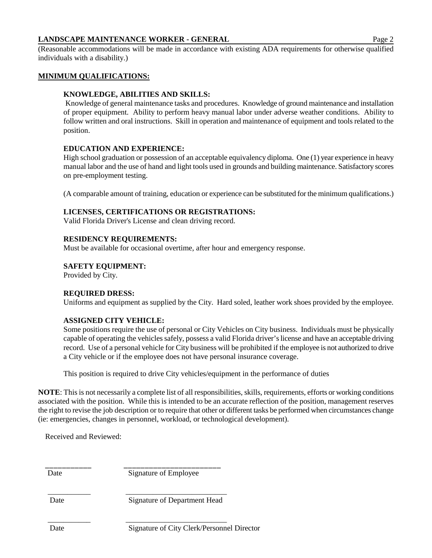#### **LANDSCAPE MAINTENANCE WORKER - GENERAL Page 2**

(Reasonable accommodations will be made in accordance with existing ADA requirements for otherwise qualified individuals with a disability.)

#### **MINIMUM QUALIFICATIONS:**

#### **KNOWLEDGE, ABILITIES AND SKILLS:**

Knowledge of general maintenance tasks and procedures. Knowledge of ground maintenance and installation of proper equipment. Ability to perform heavy manual labor under adverse weather conditions. Ability to follow written and oral instructions. Skill in operation and maintenance of equipment and tools related to the position.

#### **EDUCATION AND EXPERIENCE:**

High school graduation or possession of an acceptable equivalency diploma. One (1) year experience in heavy manual labor and the use of hand and light tools used in grounds and building maintenance. Satisfactory scores on pre-employment testing.

(A comparable amount of training, education or experience can be substituted for the minimum qualifications.)

#### **LICENSES, CERTIFICATIONS OR REGISTRATIONS:**

Valid Florida Driver's License and clean driving record.

#### **RESIDENCY REQUIREMENTS:**

Must be available for occasional overtime, after hour and emergency response.

#### **SAFETY EQUIPMENT:**

Provided by City.

#### **REQUIRED DRESS:**

Uniforms and equipment as supplied by the City. Hard soled, leather work shoes provided by the employee.

#### **ASSIGNED CITY VEHICLE:**

Some positions require the use of personal or City Vehicles on City business. Individuals must be physically capable of operating the vehicles safely, possess a valid Florida driver's license and have an acceptable driving record. Use of a personal vehicle for City business will be prohibited if the employee is not authorized to drive a City vehicle or if the employee does not have personal insurance coverage.

This position is required to drive City vehicles/equipment in the performance of duties

**NOTE**: This is not necessarily a complete list of all responsibilities, skills, requirements, efforts or working conditions associated with the position. While this is intended to be an accurate reflection of the position, management reserves the right to revise the job description or to require that other or different tasks be performed when circumstances change (ie: emergencies, changes in personnel, workload, or technological development).

Received and Reviewed:

 \_\_\_\_\_\_\_\_\_\_\_ \_\_\_\_\_\_\_\_\_\_\_\_\_\_\_\_\_\_\_\_\_\_\_ Date Signature of Employee

 \_\_\_\_\_\_\_\_\_\_\_ \_\_\_\_\_\_\_\_\_\_\_\_\_\_\_\_\_\_\_\_\_\_\_\_\_\_ Date Signature of Department Head

\_\_\_\_\_\_\_\_\_\_\_ \_\_\_\_\_\_\_\_\_\_\_\_\_\_\_\_\_\_\_\_\_\_\_\_\_\_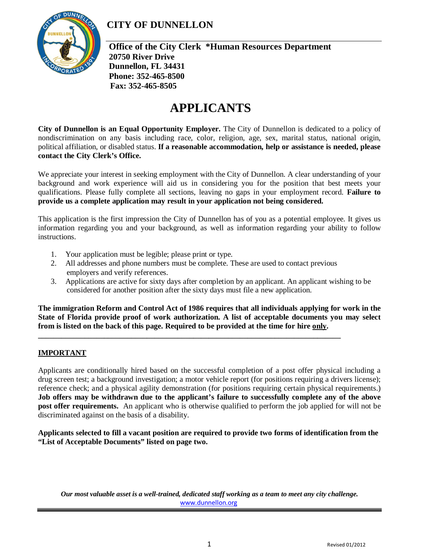



**Office of the City Clerk \*Human Resources Department 20750 River Drive Dunnellon, FL 34431 Phone: 352-465-8500 Fax: 352-465-8505**

# **APPLICANTS**

**City of Dunnellon is an Equal Opportunity Employer.** The City of Dunnellon is dedicated to a policy of nondiscrimination on any basis including race, color, religion, age, sex, marital status, national origin, political affiliation, or disabled status. **If a reasonable accommodation, help or assistance is needed, please contact the City Clerk's Office.**

We appreciate your interest in seeking employment with the City of Dunnellon. A clear understanding of your background and work experience will aid us in considering you for the position that best meets your qualifications. Please fully complete all sections, leaving no gaps in your employment record. **Failure to provide us a complete application may result in your application not being considered.**

This application is the first impression the City of Dunnellon has of you as a potential employee. It gives us information regarding you and your background, as well as information regarding your ability to follow instructions.

- 1. Your application must be legible; please print or type.
- 2. All addresses and phone numbers must be complete. These are used to contact previous employers and verify references.

**\_\_\_\_\_\_\_\_\_\_\_\_\_\_\_\_\_\_\_\_\_\_\_\_\_\_\_\_\_\_\_\_\_\_\_\_\_\_\_\_\_\_\_\_\_\_\_\_\_\_\_\_\_\_\_\_\_\_\_\_\_\_\_\_\_\_\_\_\_\_\_\_\_\_\_\_\_\_**

3. Applications are active for sixty days after completion by an applicant. An applicant wishing to be considered for another position after the sixty days must file a new application.

**The immigration Reform and Control Act of 1986 requires that all individuals applying for work in the State of Florida provide proof of work authorization. A list of acceptable documents you may select from is listed on the back of this page. Required to be provided at the time for hire only.**

## **IMPORTANT**

Applicants are conditionally hired based on the successful completion of a post offer physical including a drug screen test; a background investigation; a motor vehicle report (for positions requiring a drivers license); reference check; and a physical agility demonstration (for positions requiring certain physical requirements.) **Job offers may be withdrawn due to the applicant's failure to successfully complete any of the above post offer requirements.** An applicant who is otherwise qualified to perform the job applied for will not be discriminated against on the basis of a disability.

**Applicants selected to fill a vacant position are required to provide two forms of identification from the "List of Acceptable Documents" listed on page two.**

*Our most valuable asset is a well-trained, dedicated staff working as a team to meet any city challenge.* [www.dunnellon.org](http://www.dunnellon.org/)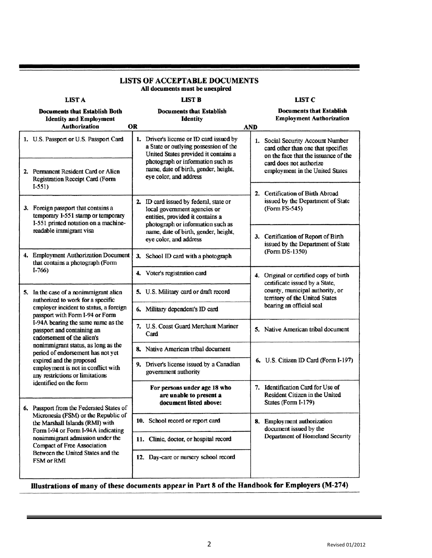| LISTS OF ACCEPTABLE DOCUMENTS<br>All documents must be unexpired                                                  |                                                                                                                                                                                                                                  |                                                                                                                                                                               |  |  |  |
|-------------------------------------------------------------------------------------------------------------------|----------------------------------------------------------------------------------------------------------------------------------------------------------------------------------------------------------------------------------|-------------------------------------------------------------------------------------------------------------------------------------------------------------------------------|--|--|--|
| <b>LIST A</b>                                                                                                     | <b>LIST B</b>                                                                                                                                                                                                                    |                                                                                                                                                                               |  |  |  |
| <b>Documents that Establish Both</b><br><b>Identity and Employment</b><br>Authorization                           | <b>Documents that Establish</b><br><b>Identity</b><br>OR                                                                                                                                                                         | <b>Documents that Establish</b><br><b>Employment Authorization</b><br><b>AND</b>                                                                                              |  |  |  |
| 1. U.S. Passport or U.S. Passport Card<br>2. Permanent Resident Card or Alien                                     | 1. Driver's license or ID card issued by<br>a State or outlying possession of the<br>United States provided it contains a<br>photograph or information such as<br>name, date of birth, gender, height,<br>eye color, and address | 1. Social Security Account Number<br>card other than one that specifies<br>on the face that the issuance of the<br>card does not authorize<br>employment in the United States |  |  |  |
| <b>Registration Receipt Card (Form</b><br>$I-551$                                                                 | ID card issued by federal, state or<br>2.                                                                                                                                                                                        | 2. Certification of Birth Abroad<br>issued by the Department of State                                                                                                         |  |  |  |
| 3. Foreign passport that contains a<br>temporary I-551 stamp or temporary<br>I-551 printed notation on a machine- | local government agencies or<br>entities, provided it contains a<br>photograph or information such as                                                                                                                            | (Form FS-545)                                                                                                                                                                 |  |  |  |
| readable immigrant visa                                                                                           | name, date of birth, gender, height,<br>eye color, and address                                                                                                                                                                   | 3. Certification of Report of Birth<br>issued by the Department of State<br>(Form DS-1350)                                                                                    |  |  |  |
| 4. Employment Authorization Document<br>that contains a photograph (Form                                          | 3. School ID card with a photograph                                                                                                                                                                                              |                                                                                                                                                                               |  |  |  |
| $I-766$                                                                                                           | 4. Voter's registration card                                                                                                                                                                                                     | 4. Original or certified copy of birth<br>certificate issued by a State,                                                                                                      |  |  |  |
| 5. In the case of a nonimmigrant alien<br>authorized to work for a specific                                       | 5. U.S. Military card or draft record                                                                                                                                                                                            |                                                                                                                                                                               |  |  |  |
| employer incident to status, a foreign<br>passport with Form I-94 or Form                                         | 6. Military dependent's ID card                                                                                                                                                                                                  | bearing an official seal                                                                                                                                                      |  |  |  |
| I-94A bearing the same name as the<br>passport and containing an<br>endorsement of the alien's                    | 7. U.S. Coast Guard Merchant Mariner<br>Card                                                                                                                                                                                     | 5. Native American tribal document                                                                                                                                            |  |  |  |
| nonimmigrant status, as long as the<br>period of endorsement has not yet                                          | 8. Native American tribal document                                                                                                                                                                                               |                                                                                                                                                                               |  |  |  |
| expired and the proposed<br>employment is not in conflict with<br>any restrictions or limitations                 | 9. Driver's license issued by a Canadian<br>government authority                                                                                                                                                                 | 6. U.S. Citizen ID Card (Form I-197)                                                                                                                                          |  |  |  |
| identified on the form<br>6. Passport from the Federated States of                                                | For persons under age 18 who<br>are unable to present a<br>document listed above:                                                                                                                                                | 7. Identification Card for Use of<br>Resident Citizen in the United<br>States (Form I-179)                                                                                    |  |  |  |
| Micronesia (FSM) or the Republic of<br>the Marshall Islands (RMI) with<br>Form I-94 or Form I-94A indicating      | 10. School record or report card                                                                                                                                                                                                 |                                                                                                                                                                               |  |  |  |
| nonimmigrant admission under the<br><b>Compact of Free Association</b>                                            | 11. Clinic, doctor, or hospital record                                                                                                                                                                                           | document issued by the<br>Department of Homeland Security                                                                                                                     |  |  |  |
| Between the United States and the<br>FSM or RMI                                                                   | 12. Day-care or nursery school record                                                                                                                                                                                            |                                                                                                                                                                               |  |  |  |

## **LISTS OF ACCEPTARI F DOCUMENTS**

Illustrations of many of these documents appear in Part 8 of the Handbook for Employers (M-274)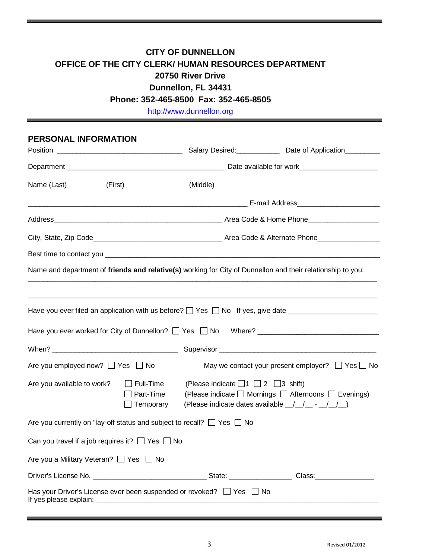## **CITY OF DUNNELLON OFFICE OF THE CITY CLERK/ HUMAN RESOURCES DEPARTMENT 20750 River Drive Dunnellon, FL 34431**

**Phone: 352-465-8500 Fax: 352-465-8505**

[http://www.dunnellon.org](http://www.dunnellon.org/)

| PERSONAL INFORMATION                                                                                     |                                                   |                                                    | Salary Desired:_________________ Date of Application___________                                                                      |  |  |
|----------------------------------------------------------------------------------------------------------|---------------------------------------------------|----------------------------------------------------|--------------------------------------------------------------------------------------------------------------------------------------|--|--|
|                                                                                                          |                                                   |                                                    |                                                                                                                                      |  |  |
| Name (Last)<br>(First)                                                                                   |                                                   | (Middle)                                           |                                                                                                                                      |  |  |
|                                                                                                          |                                                   |                                                    |                                                                                                                                      |  |  |
|                                                                                                          |                                                   |                                                    |                                                                                                                                      |  |  |
|                                                                                                          |                                                   |                                                    |                                                                                                                                      |  |  |
|                                                                                                          |                                                   |                                                    |                                                                                                                                      |  |  |
|                                                                                                          |                                                   |                                                    | Name and department of friends and relative(s) working for City of Dunnellon and their relationship to you:                          |  |  |
|                                                                                                          |                                                   |                                                    |                                                                                                                                      |  |  |
|                                                                                                          |                                                   |                                                    |                                                                                                                                      |  |  |
|                                                                                                          |                                                   |                                                    |                                                                                                                                      |  |  |
|                                                                                                          |                                                   |                                                    |                                                                                                                                      |  |  |
| Are you employed now? $\Box$ Yes $\Box$ No                                                               |                                                   |                                                    | May we contact your present employer? $\Box$ Yes $\Box$ No                                                                           |  |  |
| Are you available to work?                                                                               | $\Box$ Full-Time<br>Part-Time<br>$\Box$ Temporary | (Please indicate $\Box$ 1 $\Box$ 2 $\Box$ 3 shift) | (Please indicate □ Mornings □ Afternoons □ Evenings)<br>(Please indicate dates available $\angle$ / $\angle$ - $\angle$ / / $\angle$ |  |  |
| Are you currently on "lay-off status and subject to recall? $\Box$ Yes $\Box$ No                         |                                                   |                                                    |                                                                                                                                      |  |  |
| Can you travel if a job requires it? $\Box$ Yes $\Box$ No                                                |                                                   |                                                    |                                                                                                                                      |  |  |
| Are you a Military Veteran? □ Yes □ No                                                                   |                                                   |                                                    |                                                                                                                                      |  |  |
|                                                                                                          |                                                   |                                                    |                                                                                                                                      |  |  |
| Has your Driver's License ever been suspended or revoked? $\Box$ Yes $\Box$ No<br>If yes please explain: |                                                   |                                                    |                                                                                                                                      |  |  |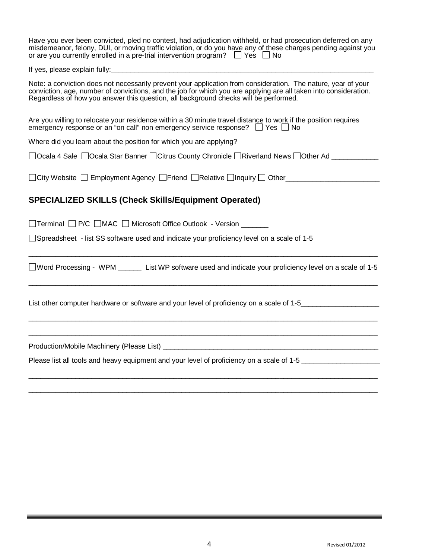| Have you ever been convicted, pled no contest, had adjudication withheld, or had prosecution deferred on any<br>misdemeanor, felony, DUI, or moving traffic violation, or do you have any of these charges pending against you<br>or are you currently enrolled in a pre-trial intervention program? $\Box$ Yes $\Box$ No |
|---------------------------------------------------------------------------------------------------------------------------------------------------------------------------------------------------------------------------------------------------------------------------------------------------------------------------|
|                                                                                                                                                                                                                                                                                                                           |
| Note: a conviction does not necessarily prevent your application from consideration. The nature, year of your<br>conviction, age, number of convictions, and the job for which you are applying are all taken into consideration.<br>Regardless of how you answer this question, all background checks will be performed. |
| Are you willing to relocate your residence within a 30 minute travel distance to work if the position requires<br>emergency response or an "on call" non emergency service response? $\Box$ Yes $\Box$ No                                                                                                                 |
| Where did you learn about the position for which you are applying?                                                                                                                                                                                                                                                        |
| □ Ocala 4 Sale □ Ocala Star Banner □ Citrus County Chronicle □ Riverland News □ Other Ad ________                                                                                                                                                                                                                         |
| □City Website □ Employment Agency □ Friend □ Relative □ Inquiry □ Other                                                                                                                                                                                                                                                   |
| <b>SPECIALIZED SKILLS (Check Skills/Equipment Operated)</b>                                                                                                                                                                                                                                                               |
| □Terminal □ P/C □ MAC □ Microsoft Office Outlook - Version ______                                                                                                                                                                                                                                                         |
| □Spreadsheet - list SS software used and indicate your proficiency level on a scale of 1-5                                                                                                                                                                                                                                |
| □Word Processing - WPM _______ List WP software used and indicate your proficiency level on a scale of 1-5                                                                                                                                                                                                                |
| List other computer hardware or software and your level of proficiency on a scale of 1-5                                                                                                                                                                                                                                  |
|                                                                                                                                                                                                                                                                                                                           |
| Please list all tools and heavy equipment and your level of proficiency on a scale of 1-5                                                                                                                                                                                                                                 |
|                                                                                                                                                                                                                                                                                                                           |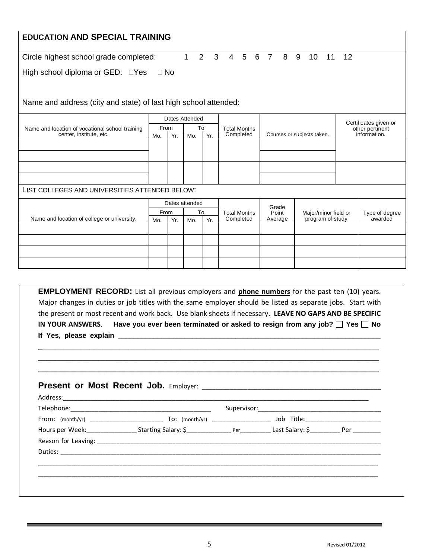| <b>EDUCATION AND SPECIAL TRAINING</b>                                                                                                                                                                                                                                                                                                                                                                                                                       |           |             |                |                     |                                  |   |                            |   |                      |                 |                  |                                          |              |  |
|-------------------------------------------------------------------------------------------------------------------------------------------------------------------------------------------------------------------------------------------------------------------------------------------------------------------------------------------------------------------------------------------------------------------------------------------------------------|-----------|-------------|----------------|---------------------|----------------------------------|---|----------------------------|---|----------------------|-----------------|------------------|------------------------------------------|--------------|--|
| Circle highest school grade completed:                                                                                                                                                                                                                                                                                                                                                                                                                      |           |             | $\mathbf{1}$   | $\overline{2}$<br>3 | $\overline{4}$<br>5 <sup>1</sup> | 6 | $\overline{7}$             | 8 | 9                    | 10 <sup>°</sup> | 11               | 12                                       |              |  |
| High school diploma or GED: DYes                                                                                                                                                                                                                                                                                                                                                                                                                            | $\Box$ No |             |                |                     |                                  |   |                            |   |                      |                 |                  |                                          |              |  |
| Name and address (city and state) of last high school attended:                                                                                                                                                                                                                                                                                                                                                                                             |           |             | Dates Attended |                     |                                  |   |                            |   |                      |                 |                  |                                          |              |  |
| Name and location of vocational school training                                                                                                                                                                                                                                                                                                                                                                                                             |           | <b>From</b> |                | To                  | <b>Total Months</b>              |   |                            |   |                      |                 |                  | Certificates given or<br>other pertinent |              |  |
| center, institute, etc.                                                                                                                                                                                                                                                                                                                                                                                                                                     | Mo.       | Yr.         | Mo.            | Yr.                 | Completed                        |   | Courses or subjects taken. |   |                      |                 |                  |                                          | information. |  |
|                                                                                                                                                                                                                                                                                                                                                                                                                                                             |           |             |                |                     |                                  |   |                            |   |                      |                 |                  |                                          |              |  |
| LIST COLLEGES AND UNIVERSITIES ATTENDED BELOW:                                                                                                                                                                                                                                                                                                                                                                                                              |           |             |                |                     |                                  |   |                            |   |                      |                 |                  |                                          |              |  |
|                                                                                                                                                                                                                                                                                                                                                                                                                                                             |           |             | Dates attended |                     |                                  |   |                            |   |                      |                 |                  |                                          |              |  |
|                                                                                                                                                                                                                                                                                                                                                                                                                                                             |           | From        | To             |                     | <b>Total Months</b>              |   | Grade<br>Point             |   | Major/minor field or |                 |                  | Type of degree                           |              |  |
| Name and location of college or university.                                                                                                                                                                                                                                                                                                                                                                                                                 | Mo.       | Yr.         | Mo.            | Yr.                 | Completed                        |   | Average                    |   |                      |                 | program of study |                                          | awarded      |  |
|                                                                                                                                                                                                                                                                                                                                                                                                                                                             |           |             |                |                     |                                  |   |                            |   |                      |                 |                  |                                          |              |  |
| <b>EMPLOYMENT RECORD:</b> List all previous employers and <b>phone numbers</b> for the past ten (10) years.<br>Major changes in duties or job titles with the same employer should be listed as separate jobs. Start with<br>the present or most recent and work back. Use blank sheets if necessary. LEAVE NO GAPS AND BE SPECIFIC<br>Have you ever been terminated or asked to resign from any job? $\square$ Yes $\square$ No<br><b>IN YOUR ANSWERS.</b> |           |             |                |                     |                                  |   |                            |   |                      |                 |                  |                                          |              |  |

**If Yes, please explain \_\_\_\_\_\_\_\_\_\_\_\_\_\_\_\_\_\_\_\_\_\_\_\_\_\_\_\_\_\_\_\_\_\_\_\_\_\_\_\_\_\_\_\_\_\_\_\_\_\_\_\_\_\_\_\_\_\_\_\_\_\_\_\_\_\_\_** 

## \_\_\_\_\_\_\_\_\_\_\_\_\_\_\_\_\_\_\_\_\_\_\_\_\_\_\_\_\_\_\_\_\_\_\_\_\_\_\_\_\_\_\_\_\_\_\_\_\_\_\_\_\_\_\_\_\_\_\_\_\_\_\_\_\_\_\_\_\_\_\_\_\_\_\_\_\_\_\_ **Present or Most Recent Job.** Employer: \_\_\_\_\_\_\_\_\_\_\_\_\_\_\_\_\_\_\_\_\_\_\_\_\_\_\_\_\_\_\_\_\_\_\_\_\_\_\_\_\_\_\_\_\_\_\_\_\_\_\_ Address:\_\_\_\_\_\_\_\_\_\_\_\_\_\_\_\_\_\_\_\_\_\_\_\_\_\_\_\_\_\_\_\_\_\_\_\_\_\_\_\_\_\_\_\_\_\_\_\_\_\_\_\_\_\_\_\_\_\_\_\_\_\_\_\_\_\_\_\_\_\_\_\_\_\_\_\_\_\_\_\_\_\_\_\_\_\_\_ Telephone:\_\_\_\_\_\_\_\_\_\_\_\_\_\_\_\_\_\_\_\_\_\_\_\_\_\_\_\_\_\_\_\_\_\_\_\_\_\_\_\_ Supervisor:\_\_\_\_\_\_\_\_\_\_\_\_\_\_\_\_\_\_\_\_\_\_\_\_\_\_\_\_\_\_\_\_\_\_\_ From: (month/yr) \_\_\_\_\_\_\_\_\_\_\_\_\_\_\_\_\_\_\_\_\_\_\_\_\_\_ To: (month/yr) \_\_\_\_\_\_\_\_\_\_\_\_\_\_\_\_\_\_\_\_\_ Job Title:\_\_\_\_\_\_\_\_\_\_\_\_\_\_\_\_\_\_\_\_\_\_\_\_\_\_\_ Hours per Week:\_\_\_\_\_\_\_\_\_\_\_\_\_\_\_\_\_\_ Starting Salary: \$\_\_\_\_\_\_\_\_\_\_\_\_\_\_\_\_ Per\_\_\_\_\_\_\_\_\_\_\_ Last Salary: \$\_\_\_\_\_\_\_\_\_\_\_ Per \_\_\_\_\_\_\_\_\_\_ Reason for Leaving: \_\_\_\_\_\_\_\_\_\_\_\_\_\_\_\_\_\_\_\_\_\_\_\_\_\_\_\_\_\_\_\_\_\_\_\_\_\_\_\_\_\_\_\_\_\_\_\_\_\_\_\_\_\_\_\_\_\_\_\_\_\_\_\_\_\_\_\_\_\_\_\_\_\_\_\_\_\_\_\_\_\_\_\_\_\_\_\_\_\_\_\_\_\_\_\_\_\_\_\_\_ Duties:  $\_$  ,  $\_$  ,  $\_$  ,  $\_$  ,  $\_$  ,  $\_$  ,  $\_$  ,  $\_$  ,  $\_$  ,  $\_$  ,  $\_$  ,  $\_$  ,  $\_$  ,  $\_$  ,  $\_$  ,  $\_$  ,  $\_$  ,  $\_$  ,  $\_$  ,  $\_$  ,  $\_$  ,  $\_$  ,  $\_$  ,  $\_$  ,  $\_$  ,  $\_$  ,  $\_$  ,  $\_$  ,  $\_$  ,  $\_$  ,  $\_$  ,  $\_$  ,  $\_$  ,  $\_$  ,  $\_$  ,  $\_$  ,  $\_$  ,  $\_$  ,  $\_$  ,  $\_$  ,  $\_$  ,  $\_$  ,  $\_$  ,  $\_$  ,  $\_$  ,  $\_$  ,  $\_$  ,  $\_$  ,  $\_$  ,  $\_$  ,  $\_$  ,  $\_$  ,  $\_$  ,  $\_$  ,  $\_$  ,  $\_$  ,  $\_$  ,  $\_$  ,  $\_$  ,  $\_$  ,  $\_$  ,  $\_$  ,  $\_$  ,  $\_$  ,  $\_$  ,  $\_$  ,  $\_$  ,  $\_$  ,  $\_$  ,  $\_$  ,  $\_$  ,  $\_$  ,  $\_$  ,  $\_$  ,

\_\_\_\_\_\_\_\_\_\_\_\_\_\_\_\_\_\_\_\_\_\_\_\_\_\_\_\_\_\_\_\_\_\_\_\_\_\_\_\_\_\_\_\_\_\_\_\_\_\_\_\_\_\_\_\_\_\_\_\_\_\_\_\_\_\_\_\_\_\_\_\_\_\_\_\_\_\_\_ \_\_\_\_\_\_\_\_\_\_\_\_\_\_\_\_\_\_\_\_\_\_\_\_\_\_\_\_\_\_\_\_\_\_\_\_\_\_\_\_\_\_\_\_\_\_\_\_\_\_\_\_\_\_\_\_\_\_\_\_\_\_\_\_\_\_\_\_\_\_\_\_\_\_\_\_\_\_\_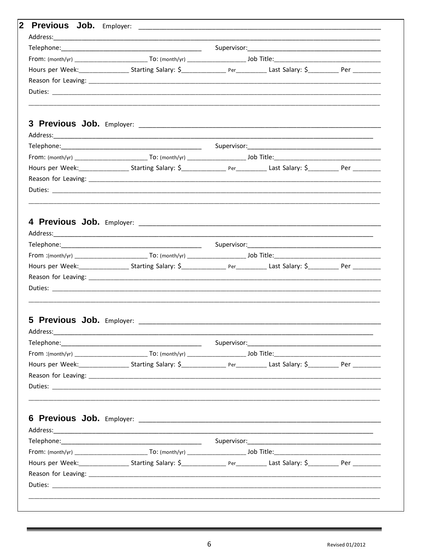|                                                                                                                                              | Hours per Week: _______________________Starting Salary: \$________________________________Last Salary: \$________________________________                                                                                      |  |  |
|----------------------------------------------------------------------------------------------------------------------------------------------|--------------------------------------------------------------------------------------------------------------------------------------------------------------------------------------------------------------------------------|--|--|
|                                                                                                                                              |                                                                                                                                                                                                                                |  |  |
|                                                                                                                                              |                                                                                                                                                                                                                                |  |  |
|                                                                                                                                              |                                                                                                                                                                                                                                |  |  |
|                                                                                                                                              |                                                                                                                                                                                                                                |  |  |
|                                                                                                                                              |                                                                                                                                                                                                                                |  |  |
|                                                                                                                                              |                                                                                                                                                                                                                                |  |  |
|                                                                                                                                              |                                                                                                                                                                                                                                |  |  |
|                                                                                                                                              |                                                                                                                                                                                                                                |  |  |
|                                                                                                                                              |                                                                                                                                                                                                                                |  |  |
|                                                                                                                                              |                                                                                                                                                                                                                                |  |  |
|                                                                                                                                              | Duties: the contract of the contract of the contract of the contract of the contract of the contract of the contract of the contract of the contract of the contract of the contract of the contract of the contract of the co |  |  |
|                                                                                                                                              |                                                                                                                                                                                                                                |  |  |
|                                                                                                                                              |                                                                                                                                                                                                                                |  |  |
|                                                                                                                                              |                                                                                                                                                                                                                                |  |  |
| Address:                                                                                                                                     |                                                                                                                                                                                                                                |  |  |
|                                                                                                                                              |                                                                                                                                                                                                                                |  |  |
|                                                                                                                                              |                                                                                                                                                                                                                                |  |  |
|                                                                                                                                              |                                                                                                                                                                                                                                |  |  |
|                                                                                                                                              |                                                                                                                                                                                                                                |  |  |
|                                                                                                                                              | Duties: the contract of the contract of the contract of the contract of the contract of the contract of the contract of the contract of the contract of the contract of the contract of the contract of the contract of the co |  |  |
|                                                                                                                                              |                                                                                                                                                                                                                                |  |  |
|                                                                                                                                              |                                                                                                                                                                                                                                |  |  |
|                                                                                                                                              |                                                                                                                                                                                                                                |  |  |
|                                                                                                                                              |                                                                                                                                                                                                                                |  |  |
|                                                                                                                                              |                                                                                                                                                                                                                                |  |  |
|                                                                                                                                              |                                                                                                                                                                                                                                |  |  |
|                                                                                                                                              |                                                                                                                                                                                                                                |  |  |
|                                                                                                                                              |                                                                                                                                                                                                                                |  |  |
|                                                                                                                                              |                                                                                                                                                                                                                                |  |  |
| Hours per Week: ______________________Starting Salary: \$______________________________Last Salary: \$_____________________Per _____________ |                                                                                                                                                                                                                                |  |  |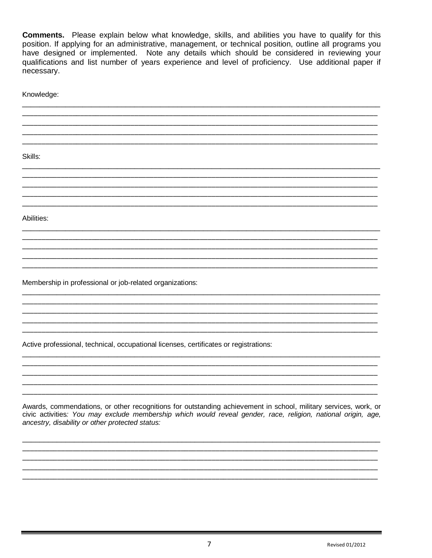Comments. Please explain below what knowledge, skills, and abilities you have to qualify for this position. If applying for an administrative, management, or technical position, outline all programs you have designed or implemented. Note any details which should be considered in reviewing your qualifications and list number of years experience and level of proficiency. Use additional paper if necessary.

| Knowledge:                                                                            |
|---------------------------------------------------------------------------------------|
|                                                                                       |
|                                                                                       |
| Skills:                                                                               |
|                                                                                       |
|                                                                                       |
| Abilities:                                                                            |
|                                                                                       |
|                                                                                       |
| Membership in professional or job-related organizations:                              |
|                                                                                       |
|                                                                                       |
| Active professional, technical, occupational licenses, certificates or registrations: |
|                                                                                       |
|                                                                                       |

Awards, commendations, or other recognitions for outstanding achievement in school, military services, work, or civic activities: You may exclude membership which would reveal gender, race, religion, national origin, age, ancestry, disability or other protected status: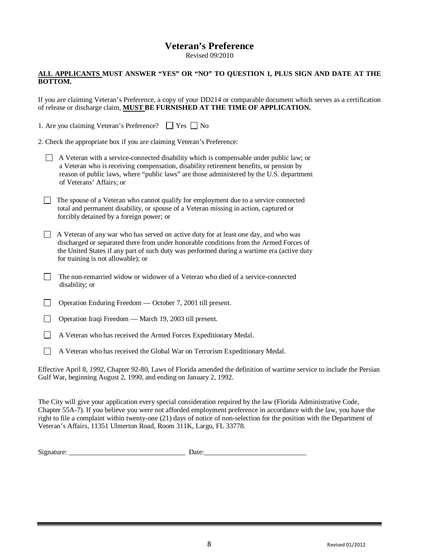## **Veteran's Preference**

Revised 09/2010

#### **ALL APPLICANTS MUST ANSWER "YES" OR "NO" TO QUESTION 1, PLUS SIGN AND DATE AT THE BOTTOM.**

If you are claiming Veteran's Preference, a copy of your DD214 or comparable document which serves as a certification of release or discharge claim, **MUST BE FURNISHED AT THE TIME OF APPLICATION.** 

| 1. Are you claiming Veteran's Preference? □ Yes     No                 |  |  |
|------------------------------------------------------------------------|--|--|
| 2. Check the appropriate box if you are claiming Veteran's Preference: |  |  |

| A Veteran with a service-connected disability which is compensable under public law; or  |
|------------------------------------------------------------------------------------------|
| a Veteran who is receiving compensation, disability retirement benefits, or pension by   |
| reason of public laws, where "public laws" are those administered by the U.S. department |
| of Veterans' Affairs; or                                                                 |

- The spouse of a Veteran who cannot qualify for employment due to a service connected total and permanent disability, or spouse of a Veteran missing in action, captured or forcibly detained by a foreign power; or
- $\Box$  A Veteran of any war who has served on active duty for at least one day, and who was discharged or separated there from under honorable conditions from the Armed Forces of the United States if any part of such duty was performed during a wartime era (active duty for training is not allowable); or
- The non-remarried widow or widower of a Veteran who died of a service-connected disability; or
- □ Operation Enduring Freedom October 7, 2001 till present.
- Operation Iraqi Freedom March 19, 2003 till present.
- A Veteran who has received the Armed Forces Expeditionary Medal.
- A Veteran who has received the Global War on Terrorism Expeditionary Medal.

Effective April 8, *1992,* Chapter 92-80, Laws of Florida amended the definition of wartime service to include the Persian Gulf War, beginning August 2, 1990, and ending on January 2, 1992.

The City will give your application every special consideration required by the law (Florida Administrative Code, Chapter 55A-7). If you believe you were not afforded employment preference in accordance with the law, you have the right to file a complaint within twenty-one (21) days of notice of non-selection for the position with the Department of Veteran's Affairs, 11351 Ulmerton Road, Room 311K, Largo, FL 33778.

| Signature: |  |
|------------|--|
|------------|--|

Signature: \_\_\_\_\_\_\_\_\_\_\_\_\_\_\_\_\_\_\_\_\_\_\_\_\_\_\_\_\_\_\_\_\_ Date:\_\_\_\_\_\_\_\_\_\_\_\_\_\_\_\_\_\_\_\_\_\_\_\_\_\_\_\_\_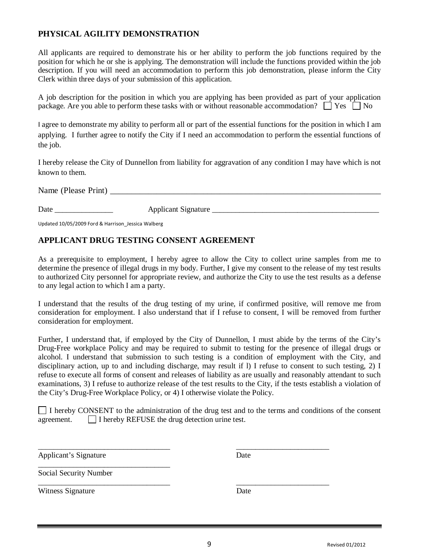## **PHYSICAL AGILITY DEMONSTRATION**

All applicants are required to demonstrate his or her ability to perform the job functions required by the position for which he or she is applying. The demonstration will include the functions provided within the job description. If you will need an accommodation to perform this job demonstration, please inform the City Clerk within three days of your submission of this application.

A job description for the position in which you are applying has been provided as part of your application package. Are you able to perform these tasks with or without reasonable accommodation?  $\Box$  Yes  $\Box$  No

I agree to demonstrate my ability to perform all or part of the essential functions for the position in which I am applying. I further agree to notify the City if I need an accommodation to perform the essential functions of the job.

I hereby release the City of Dunnellon from liability for aggravation of any condition I may have which is not known to them.

Name (Please Print)

Date \_\_\_\_\_\_\_\_\_\_\_\_\_\_\_ Applicant Signature \_\_\_\_\_\_\_\_\_\_\_\_\_\_\_\_\_\_\_\_\_\_\_\_\_\_\_\_\_\_\_\_\_\_\_\_\_\_\_\_\_\_\_

Updated 10/05/2009 Ford & Harrison\_Jessica Walberg

### **APPLICANT DRUG TESTING CONSENT AGREEMENT**

As a prerequisite to employment, I hereby agree to allow the City to collect urine samples from me to determine the presence of illegal drugs in my body. Further, I give my consent to the release of my test results to authorized City personnel for appropriate review, and authorize the City to use the test results as a defense to any legal action to which I am a party.

I understand that the results of the drug testing of my urine, if confirmed positive, will remove me from consideration for employment. I also understand that if I refuse to consent, I will be removed from further consideration for employment.

Further, I understand that, if employed by the City of Dunnellon, I must abide by the terms of the City's Drug-Free workplace Policy and may be required to submit to testing for the presence of illegal drugs or alcohol. I understand that submission to such testing is a condition of employment with the City, and disciplinary action, up to and including discharge, may result if l) I refuse to consent to such testing, 2) I refuse to execute all forms of consent and releases of liability as are usually and reasonably attendant to such examinations, 3) I refuse to authorize release of the test results to the City, if the tests establish a violation of the City's Drug-Free Workplace Policy, or 4) I otherwise violate the Policy.

I hereby CONSENT to the administration of the drug test and to the terms and conditions of the consent agreement.  $\Box$  I hereby REFUSE the drug detection urine test.

\_\_\_\_\_\_\_\_\_\_\_\_\_\_\_\_\_\_\_\_\_\_\_\_\_\_\_\_\_\_\_\_\_\_ \_\_\_\_\_\_\_\_\_\_\_\_\_\_\_\_\_\_\_\_\_\_\_\_

\_\_\_\_\_\_\_\_\_\_\_\_\_\_\_\_\_\_\_\_\_\_\_\_\_\_\_\_\_\_\_\_\_\_ \_\_\_\_\_\_\_\_\_\_\_\_\_\_\_\_\_\_\_\_\_\_\_\_

Applicant's Signature Date

Social Security Number

\_\_\_\_\_\_\_\_\_\_\_\_\_\_\_\_\_\_\_\_\_\_\_\_\_\_\_\_\_\_\_\_\_\_

Witness Signature Date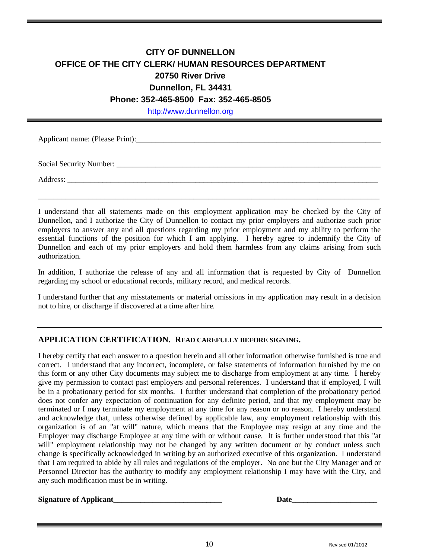## **CITY OF DUNNELLON OFFICE OF THE CITY CLERK/ HUMAN RESOURCES DEPARTMENT 20750 River Drive Dunnellon, FL 34431 Phone: 352-465-8500 Fax: 352-465-8505**

[http://www.dunnellon.org](http://www.dunnellon.org/)

Applicant name: (Please Print):

Social Security Number: \_\_\_\_\_\_\_\_\_\_\_\_\_\_\_\_\_\_\_\_\_\_\_\_\_\_\_\_\_\_\_\_\_\_\_\_\_\_\_\_\_\_\_\_\_\_\_\_\_\_\_\_\_\_\_\_\_\_\_\_\_\_\_\_\_\_\_\_

Address: \_\_\_\_\_\_\_\_\_\_\_\_\_\_\_\_\_\_\_\_\_\_\_\_\_\_\_\_\_\_\_\_\_\_\_\_\_\_\_\_\_\_\_\_\_\_\_\_\_\_\_\_\_\_\_\_\_\_\_\_\_\_\_\_\_\_\_\_\_\_\_\_\_\_\_\_\_\_\_\_

I understand that all statements made on this employment application may be checked by the City of Dunnellon, and I authorize the City of Dunnellon to contact my prior employers and authorize such prior employers to answer any and all questions regarding my prior employment and my ability to perform the essential functions of the position for which I am applying. I hereby agree to indemnify the City of Dunnellon and each of my prior employers and hold them harmless from any claims arising from such authorization.

\_\_\_\_\_\_\_\_\_\_\_\_\_\_\_\_\_\_\_\_\_\_\_\_\_\_\_\_\_\_\_\_\_\_\_\_\_\_\_\_\_\_\_\_\_\_\_\_\_\_\_\_\_\_\_\_\_\_\_\_\_\_\_\_\_\_\_\_\_\_\_\_\_\_\_\_\_\_\_\_\_\_\_\_\_\_\_\_

In addition, I authorize the release of any and all information that is requested by City of Dunnellon regarding my school or educational records, military record, and medical records.

I understand further that any misstatements or material omissions in my application may result in a decision not to hire, or discharge if discovered at a time after hire.

#### **APPLICATION CERTIFICATION. READ CAREFULLY BEFORE SIGNING.**

I hereby certify that each answer to a question herein and all other information otherwise furnished is true and correct. I understand that any incorrect, incomplete, or false statements of information furnished by me on this form or any other City documents may subject me to discharge from employment at any time. I hereby give my permission to contact past employers and personal references. I understand that if employed, I will be in a probationary period for six months. I further understand that completion of the probationary period does not confer any expectation of continuation for any definite period, and that my employment may be terminated or I may terminate my employment at any time for any reason or no reason. I hereby understand and acknowledge that, unless otherwise defined by applicable law, any employment relationship with this organization is of an "at will" nature, which means that the Employee may resign at any time and the Employer may discharge Employee at any time with or without cause. It is further understood that this "at will" employment relationship may not be changed by any written document or by conduct unless such change is specifically acknowledged in writing by an authorized executive of this organization. I understand that I am required to abide by all rules and regulations of the employer. No one but the City Manager and or Personnel Director has the authority to modify any employment relationship I may have with the City, and any such modification must be in writing.

**Signature of Applicant\_\_\_\_\_\_\_\_\_\_\_\_\_\_\_\_\_\_\_\_\_\_\_\_\_\_\_\_ Date\_\_\_\_\_\_\_\_\_\_\_\_\_\_\_\_\_\_\_\_\_\_**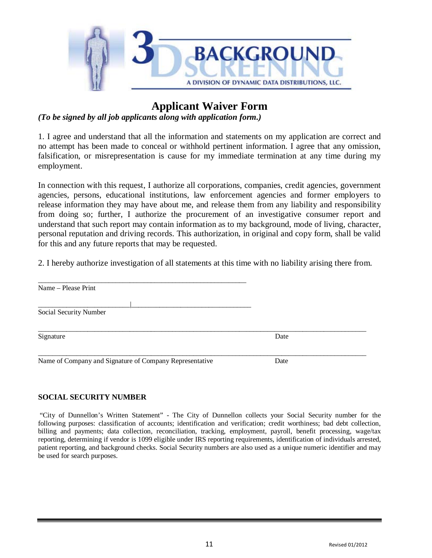

## **Applicant Waiver Form**

*(To be signed by all job applicants along with application form.)*

1. I agree and understand that all the information and statements on my application are correct and no attempt has been made to conceal or withhold pertinent information. I agree that any omission, falsification, or misrepresentation is cause for my immediate termination at any time during my employment.

In connection with this request, I authorize all corporations, companies, credit agencies, government agencies, persons, educational institutions, law enforcement agencies and former employers to release information they may have about me, and release them from any liability and responsibility from doing so; further, I authorize the procurement of an investigative consumer report and understand that such report may contain information as to my background, mode of living, character, personal reputation and driving records. This authorization, in original and copy form, shall be valid for this and any future reports that may be requested.

2. I hereby authorize investigation of all statements at this time with no liability arising there from.

| Name – Please Print                                     |      |  |
|---------------------------------------------------------|------|--|
| Social Security Number                                  |      |  |
| Signature                                               | Date |  |
| Name of Company and Signature of Company Representative | Date |  |

### **SOCIAL SECURITY NUMBER**

"City of Dunnellon's Written Statement" - The City of Dunnellon collects your Social Security number for the following purposes: classification of accounts; identification and verification; credit worthiness; bad debt collection, billing and payments; data collection, reconciliation, tracking, employment, payroll, benefit processing, wage/tax reporting, determining if vendor is 1099 eligible under IRS reporting requirements, identification of individuals arrested, patient reporting, and background checks. Social Security numbers are also used as a unique numeric identifier and may be used for search purposes.